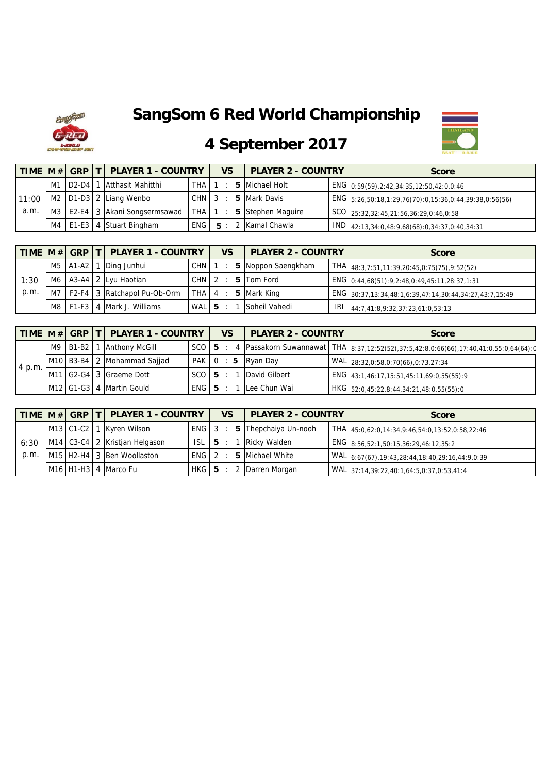# **SangSom 6 Red World Championship**





# **4 September 2017**

|       |  | TIME M # GRP T PLAYER 1 - COUNTRY    |            | <b>VS</b> | <b>PLAYER 2 - COUNTRY</b> | <b>Score</b>                                             |
|-------|--|--------------------------------------|------------|-----------|---------------------------|----------------------------------------------------------|
|       |  | M1 D2-D4 1 Atthasit Mahitthi         | THA        |           | 5 Michael Holt            | ENG 0:59(59), 2:42, 34:35, 12:50, 42:0, 0:46             |
| 11:00 |  | M2 D1-D3 2 Liang Wenbo               | $CHN$ 3    |           | 5 Mark Davis              | ENG $5:26,50:18,1:29,76(70):0,15:36,0:44,39:38,0:56(56)$ |
| a.m.  |  | M3   E2-E4   3   Akani Songsermsawad | <b>THA</b> |           | 5 Stephen Maguire         | SCO 25:32,32:45,21:56,36:29,0:46,0:58                    |
|       |  | M4   E1-E3   4 Stuart Bingham        | <b>ENG</b> |           | 2 Kamal Chawla            | $1$ IND $42:13,34:0,48:9,68(68):0,34:37,0:40,34:31$      |

|      |  | TIME  M #  GRP   T   PLAYER 1 - COUNTRY |            | <b>VS</b> | <b>PLAYER 2 - COUNTRY</b> | <b>Score</b>                                             |
|------|--|-----------------------------------------|------------|-----------|---------------------------|----------------------------------------------------------|
|      |  | M5   A1-A2   1   Ding Junhui            | <b>CHN</b> |           | 5 Noppon Saengkham        | $THA$ <sub>48:3,7:51,11:39,20:45,0:75(75),9:52(52)</sub> |
| 1:30 |  | M6   A3-A4   2   Lyu Haotian            | CHN I      |           | 2 : 5 Tom Ford            | ENG 0:44,68(51):9,2:48,0:49,45:11,28:37,1:31             |
| p.m. |  | M7   F2-F4 3   Ratchapol Pu-Ob-Orm      | THA 4      |           | 5 Mark King               | ENG 30:37,13:34,48:1,6:39,47:14,30:44,34:27,43:7,15:49   |
|      |  | M8   F1-F3   4   Mark J. Williams       | WAL 5      |           | Soheil Vahedi             | $1$ IRI 44:7,41:8,9:32,37:23,61:0,53:13                  |

|        |          | TIME M # GRP   T   PLAYER 1 - COUNTRY |         | <b>VS</b>      | <b>PLAYER 2 - COUNTRY</b> | <b>Score</b>                                                                                                |
|--------|----------|---------------------------------------|---------|----------------|---------------------------|-------------------------------------------------------------------------------------------------------------|
|        | M9 B1-B2 | 1 Anthony McGill                      |         |                |                           | SCO   5 : 4 Passakorn Suwannawat   THA   8:37, 12:52(52), 37:5, 42:8, 0:66(66), 17:40, 41:0, 55:0, 64(64):0 |
|        |          | M10 B3-B4 2 Mohammad Sajjad           | PAK 0   | $\therefore$ 5 | Ryan Day                  | WAL 28:32,0:58,0:70(66),0:73,27:34                                                                          |
| 4 p.m. |          | M11 G2-G4 3 Graeme Dott               | $SCO$ 5 |                | David Gilbert             | ENG 43:1,46:17,15:51,45:11,69:0,55(55):9                                                                    |
|        |          | M12 G1-G3 4 Martin Gould              | ENG 5   |                | Lee Chun Wai              | HKG 52:0,45:22,8:44,34:21,48:0,55(55):0                                                                     |

|      |  | TIME  M # GRP   T   PLAYER 1 - COUNTRY                          |            |    | <b>VS</b> | <b>PLAYER 2 - COUNTRY</b>         | <b>Score</b>                                          |
|------|--|-----------------------------------------------------------------|------------|----|-----------|-----------------------------------|-------------------------------------------------------|
|      |  | M13 C1-C2 1 Kyren Wilson                                        | ENG 3      |    |           | $\therefore$ 5 Thepchaiya Un-nooh | $THA$ 45:0,62:0,14:34,9:46,54:0,13:52,0:58,22:46      |
| 6:30 |  | M14 C3-C4 2 Kristjan Helgason                                   | <b>ISL</b> | 15 |           | Ricky Walden                      | ENG 8:56,52:1,50:15,36:29,46:12,35:2                  |
| p.m. |  | M <sub>15</sub> H <sub>2</sub> -H <sub>4</sub> 3 Ben Woollaston | ENG 2      |    |           | 5 Michael White                   | WAL 6:67(67), 19:43, 28:44, 18:40, 29:16, 44: 9, 0:39 |
|      |  | M <sub>16</sub> H <sub>1</sub> -H <sub>3</sub> 4 Marco Fu       | HKG 5      |    |           | 2 Darren Morgan                   | WAL 37:14,39:22,40:1,64:5,0:37,0:53,41:4              |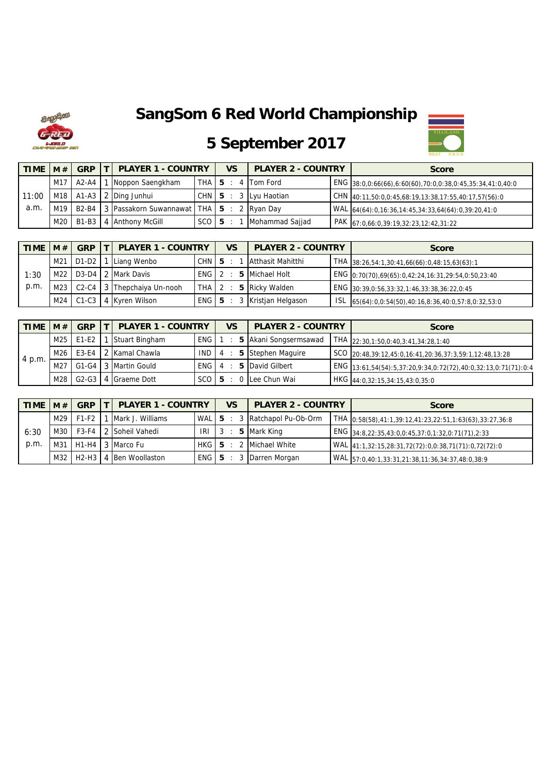

#### **SangSom 6 Red World Championship**



# **5 September 2017**

| <b>TIME</b> | M#  | <b>GRP</b>        | <b>PLAYER 1 - COUNTRY</b>                                          |       | VS | <b>PLAYER 2 - COUNTRY</b> | <b>Score</b>                                              |
|-------------|-----|-------------------|--------------------------------------------------------------------|-------|----|---------------------------|-----------------------------------------------------------|
|             |     | $M17$ $A2-A4$ $I$ | Noppon Saengkham                                                   | THA 5 |    | 4 Tom Ford                | ENG 38:0,0:66(66),6:60(60),70:0,0:38,0:45,35:34,41:0,40:0 |
| 11:00       |     |                   | M <sub>18</sub>   A <sub>1</sub> -A <sub>3</sub>   2   Ding Junhui | CHN 5 |    | 3 Lyu Haotian             | $CHN$ 40:11,50:0,0:45,68:19,13:38,17:55,40:17,57(56):0    |
| a.m.        | M19 |                   | B2-B4 3 Passakorn Suwannawat THA 5                                 |       |    | 2 Ryan Day                | WAL 64(64):0,16:36,14:45,34:33,64(64):0,39:20,41:0        |
|             | M20 |                   | B1-B3 4 Anthony McGill                                             | SCO 5 |    | Mohammad Sajjad           | PAK 67:0,66:0,39:19,32:23,12:42,31:22                     |

| <b>TIME</b> | M#              | <b>GRP</b> | <b>PLAYER 1 - COUNTRY</b>  |         | <b>VS</b> | <b>PLAYER 2 - COUNTRY</b> |     | <b>Score</b>                                         |
|-------------|-----------------|------------|----------------------------|---------|-----------|---------------------------|-----|------------------------------------------------------|
|             | M21             | $D1-D2$    | Liang Wenbo                | CHN 5   |           | Atthasit Mahitthi         |     | $THA$ 38:26,54:1,30:41,66(66):0,48:15,63(63):1       |
| 1:30        | M <sub>22</sub> |            | D3-D4 2 Mark Davis         | ENG 12  |           | 5 Michael Holt            |     | ENG $0:70(70),69(65):0,42:24,16:31,29:54,0:50,23:40$ |
| p.m.        | M <sub>23</sub> |            | C2-C4 3 Thepchaiya Un-nooh | $THA$ 2 |           | 5 Ricky Walden            |     | ENG 30:39, 0:56, 33:32, 1:46, 33:38, 36:22, 0:45     |
|             | M <sub>24</sub> |            | C1-C3 4 Kyren Wilson       | ENG 5   |           | 3 Kristjan Helgason       | ISL | 65(64):0,0:54(50),40:16,8:36,40:0,57:8,0:32,53:0     |

| TIME $ M# $ |     | <b>GRP</b>  | <b>PLAYER 1 - COUNTRY</b> |         | <b>VS</b> | <b>PLAYER 2 - COUNTRY</b> | <b>Score</b>                                                   |
|-------------|-----|-------------|---------------------------|---------|-----------|---------------------------|----------------------------------------------------------------|
|             |     | M25 E1-E2 1 | Stuart Bingham            | ENG     |           | 5 Akani Songsermsawad     | THA 22:30,1:50,0:40,3:41,34:28,1:40                            |
| $4$ p.m.    | M26 |             | E3-E4 2 Kamal Chawla      | $IND$ 4 |           | 5 Stephen Maguire         | SCO 20:48,39:12,45:0,16:41,20:36,37:3,59:1,12:48,13:28         |
|             | M27 |             | G1-G4 3 Martin Gould      | ENG 4   |           | 5 David Gilbert           | ENG 13:61,54(54):5,37:20,9:34,0:72(72),40:0,32:13,0:71(71):0:4 |
|             | M28 |             | G2-G3 4 Graeme Dott       | $SCO$ 5 |           | Lee Chun Wai              | HKG 44:0,32:15,34:15,43:0,35:0                                 |

| <b>TIME</b> | M#  | <b>GRP</b> | <b>PLAYER 1 - COUNTRY</b>     |        | <b>VS</b> | <b>PLAYER 2 - COUNTRY</b>           | <b>Score</b>                                            |
|-------------|-----|------------|-------------------------------|--------|-----------|-------------------------------------|---------------------------------------------------------|
|             | M29 | F1-F2      | Mark J. Williams              |        |           | $WAL$   5 : 3 $Ratchapol$ Pu-Ob-Orm | THA 0:58(58),41:1,39:12,41:23,22:51,1:63(63),33:27,36:8 |
| 6:30        |     |            | M30   F3-F4   2 Soheil Vahedi | IRI    |           | 5 Mark King                         | ENG 34:8,22:35,43:0,0:45,37:0,1:32,0:71(71),2:33        |
| p.m.        |     |            | M31 H1-H4 3 Marco Fu          | HKG 15 |           | 2 Michael White                     | WAL 41:1,32:15,28:31,72(72):0,0:38,71(71):0,72(72):0    |
|             | M32 | $H2-H3$    | Ben Woollaston                | ENG 5  |           | : 3 Darren Morgan                   | WAL 57:0,40:1,33:31,21:38,11:36,34:37,48:0,38:9         |